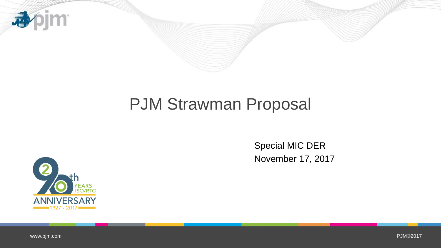

# PJM Strawman Proposal

Special MIC DER November 17, 2017



[www.pjm.com](http://www.pjm.com/)

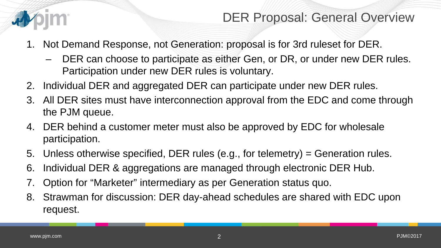

#### DER Proposal: General Overview

- 1. Not Demand Response, not Generation: proposal is for 3rd ruleset for DER.
	- DER can choose to participate as either Gen, or DR, or under new DER rules. Participation under new DER rules is voluntary.
- 2. Individual DER and aggregated DER can participate under new DER rules.
- 3. All DER sites must have interconnection approval from the EDC and come through the PJM queue.
- 4. DER behind a customer meter must also be approved by EDC for wholesale participation.
- 5. Unless otherwise specified, DER rules (e.g., for telemetry) = Generation rules.
- 6. Individual DER & aggregations are managed through electronic DER Hub.
- 7. Option for "Marketer" intermediary as per Generation status quo.
- 8. Strawman for discussion: DER day-ahead schedules are shared with EDC upon request.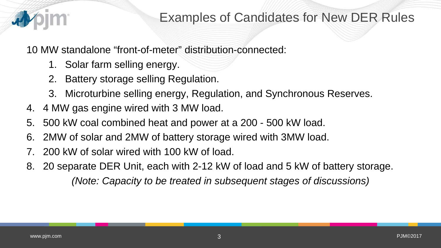

10 MW standalone "front-of-meter" distribution-connected:

- 1. Solar farm selling energy.
- 2. Battery storage selling Regulation.
- 3. Microturbine selling energy, Regulation, and Synchronous Reserves.
- 4. 4 MW gas engine wired with 3 MW load.
- 5. 500 kW coal combined heat and power at a 200 500 kW load.
- 6. 2MW of solar and 2MW of battery storage wired with 3MW load.
- 200 kW of solar wired with 100 kW of load.
- 8. 20 separate DER Unit, each with 2-12 kW of load and 5 kW of battery storage. *(Note: Capacity to be treated in subsequent stages of discussions)*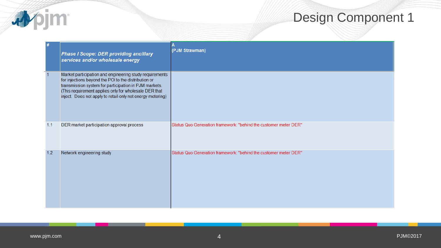| #   | <b>Phase I Scope: DER providing ancillary</b><br>services and/or wholesale energy                                                                                                                                                                                                               | (PJM Strawman)                                                   |
|-----|-------------------------------------------------------------------------------------------------------------------------------------------------------------------------------------------------------------------------------------------------------------------------------------------------|------------------------------------------------------------------|
|     | Market participation and engineering study requirements<br>for injections beyond the POI to the distribution or<br>transmission system for participation in PJM markets.<br>(This requirement applies only for wholesale DER that<br>inject. Does not apply to retail-only net energy metering) |                                                                  |
| 1.1 | DER market participation approval process                                                                                                                                                                                                                                                       | Status Quo Generation framework: "behind the customer meter DER" |
| 1.2 | Network engineering study                                                                                                                                                                                                                                                                       | Status Quo Generation framework: "behind the customer meter DER" |

**Apjm**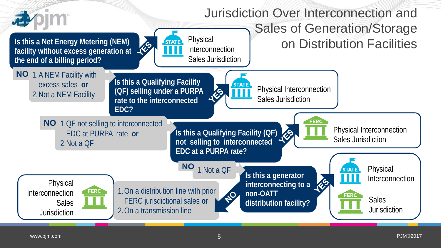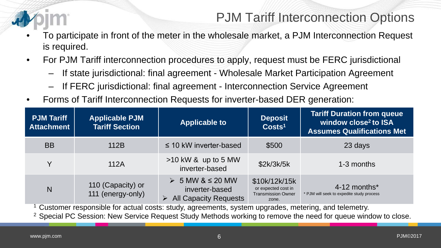

### PJM Tariff Interconnection Options

- To participate in front of the meter in the wholesale market, a PJM Interconnection Request is required.
- For PJM Tariff interconnection procedures to apply, request must be FERC jurisdictional
	- If state jurisdictional: final agreement Wholesale Market Participation Agreement
	- If FERC jurisdictional: final agreement Interconnection Service Agreement
- Forms of Tariff Interconnection Requests for inverter-based DER generation:

| <b>PJM Tariff</b><br><b>Attachment</b> | <b>Applicable PJM</b><br><b>Tariff Section</b> | <b>Applicable to</b>                                                                | <b>Deposit</b><br>Costs <sup>1</sup>                                       | <b>Tariff Duration from queue</b><br>window close <sup>2</sup> to ISA<br><b>Assumes Qualifications Met</b> |
|----------------------------------------|------------------------------------------------|-------------------------------------------------------------------------------------|----------------------------------------------------------------------------|------------------------------------------------------------------------------------------------------------|
| <b>BB</b>                              | 112B                                           | $\leq$ 10 kW inverter-based                                                         | \$500                                                                      | 23 days                                                                                                    |
| Y                                      | 112A                                           | $>10$ kW & up to 5 MW<br>inverter-based                                             | \$2k/3k/5k                                                                 | 1-3 months                                                                                                 |
| N                                      | 110 (Capacity) or<br>111 (energy-only)         | $>$ 5 MW & $\leq$ 20 MW<br>inverter-based<br>$\triangleright$ All Capacity Requests | \$10k/12k/15k<br>or expected cost in<br><b>Transmission Owner</b><br>zone. | 4-12 months*<br>* PJM will seek to expedite study process                                                  |

<sup>1</sup> Customer responsible for actual costs: study, agreements, system upgrades, metering, and telemetry.

<sup>2</sup> Special PC Session: New Service Request Study Methods working to remove the need for queue window to close.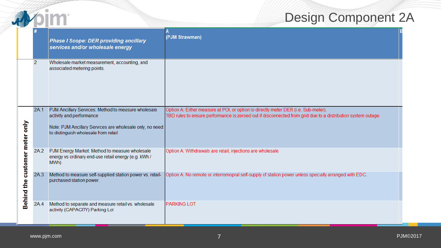|                    |                |                                                                                                                                                                                     | <b>Design Component 2</b>                                                                                                                                                                          |
|--------------------|----------------|-------------------------------------------------------------------------------------------------------------------------------------------------------------------------------------|----------------------------------------------------------------------------------------------------------------------------------------------------------------------------------------------------|
|                    |                | <b>Phase I Scope: DER providing ancillary</b><br>services and/or wholesale energy                                                                                                   | Α<br>(PJM Strawman)                                                                                                                                                                                |
|                    | $\overline{2}$ | Wholesale market measurement, accounting, and<br>associated metering points.                                                                                                        |                                                                                                                                                                                                    |
| òμο                | 2A.1           | PJM Ancillary Services: Method to measure wholesale<br>activity and performance<br>Note: PJM Ancillary Services are wholesale only, no need<br>to distinguish wholesale from retail | Option A: Either measure at POI, or option to directly meter DER (i.e. Sub-meter).<br>TBD rules to ensure performance is zeroed out if disconnected from grid due to a distribution system outage. |
| customer meter     | 2A.2           | PJM Energy Market: Method to measure wholesale<br>energy vs ordinary end-use retail energy (e.g. kWh /<br>MWh)                                                                      | Option A: Withdrawals are retail, injections are wholesale                                                                                                                                         |
| £<br><b>Behind</b> | 2A.3           | Method to measure self-supplied station power vs. retail-<br>purchased station power.                                                                                               | Option A: No remote or interremopral self-supply of station power unless specially arranged with EDC.                                                                                              |
|                    | 2A.4           | Method to separate and measure retail vs. wholesale<br>activity (CAPACITY) Parking Lot                                                                                              | <b>PARKING LOT</b>                                                                                                                                                                                 |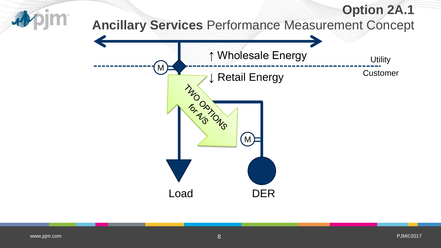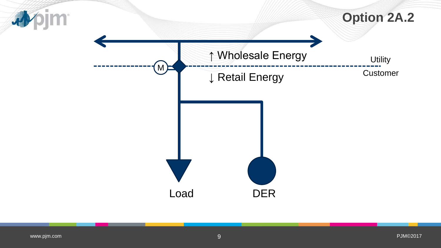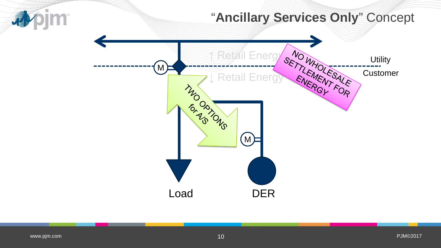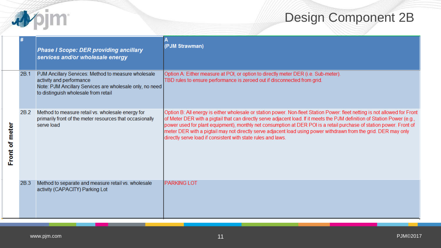

|                   |      | <b>Phase I Scope: DER providing ancillary</b><br>services and/or wholesale energy                                                                                                   | (PJM Strawman)                                                                                                                                                                                                                                                                                                                                                                                                                                                                                                                                                    |
|-------------------|------|-------------------------------------------------------------------------------------------------------------------------------------------------------------------------------------|-------------------------------------------------------------------------------------------------------------------------------------------------------------------------------------------------------------------------------------------------------------------------------------------------------------------------------------------------------------------------------------------------------------------------------------------------------------------------------------------------------------------------------------------------------------------|
|                   | 2B.1 | PJM Ancillary Services: Method to measure wholesale<br>activity and performance<br>Note: PJM Ancillary Services are wholesale only, no need<br>to distinguish wholesale from retail | Option A: Either measure at POI, or option to directly meter DER (i.e. Sub-meter).<br>TBD rules to ensure performance is zeroed out if disconnected from grid.                                                                                                                                                                                                                                                                                                                                                                                                    |
| of meter<br>Front | 2B.2 | Method to measure retail vs. wholesale energy for<br>primarily front of the meter resources that occasionally<br>serve load                                                         | Option B: All energy is either wholesale or station power. Non-fleet Station Power: fleet netting is not allowed for Front<br>of Meter DER with a pigtail that can directly serve adjacent load. If it meets the PJM definition of Station Power (e.g.,<br>power used for plant equipment), monthly net consumption at DER POI is a retail purchase of station power. Front of<br>meter DER with a pigtail may not directly serve adjacent load using power withdrawn from the grid. DER may only<br>directly serve load if consistent with state rules and laws. |
|                   | 2B.3 | Method to separate and measure retail vs. wholesale<br>activity (CAPACITY) Parking Lot                                                                                              | <b>PARKING LOT</b>                                                                                                                                                                                                                                                                                                                                                                                                                                                                                                                                                |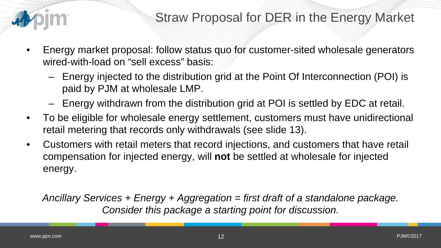

- Energy market proposal: follow status quo for customer-sited wholesale generators wired-with-load on "sell excess" basis:
	- Energy injected to the distribution grid at the Point Of Interconnection (POI) is paid by PJM at wholesale LMP.
	- Energy withdrawn from the distribution grid at POI is settled by EDC at retail.
- To be eligible for wholesale energy settlement, customers must have unidirectional retail metering that records only withdrawals (see slide 13).
- Customers with retail meters that record injections, and customers that have retail compensation for injected energy, will **not** be settled at wholesale for injected energy.

*Ancillary Services + Energy + Aggregation = first draft of a standalone package. Consider this package a starting point for discussion.*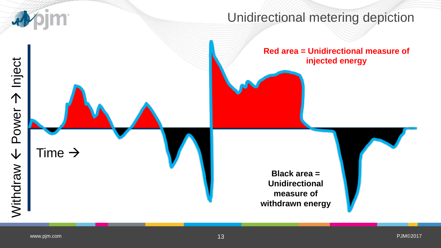

#### Unidirectional metering depiction

#### **Red area = Unidirectional measure of injected energy**

**Black area = Unidirectional measure of withdrawn energy**

[www.pjm.com](http://www.pjm.com/)

Time  $\rightarrow$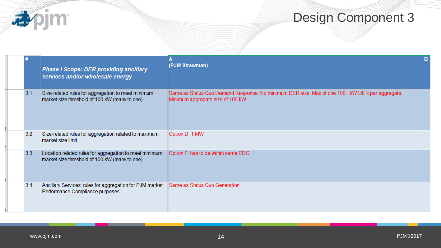|     | <b>Phase I Scope: DER providing ancillary</b><br>services and/or wholesale energy                       | (PJM Strawman)                                                                                                                      | B |
|-----|---------------------------------------------------------------------------------------------------------|-------------------------------------------------------------------------------------------------------------------------------------|---|
| 3.1 | Size-related rules for aggregation to meet minimum<br>market size threshold of 100 kW (many to one)     | Same as Status Quo Demand Response: No minimum DER size. Max of one 100+ kW DER per aggregate.<br>Minimum aggregate size of 100 kW. |   |
| 3.2 | Size-related rules for aggregation related to maximum<br>market size limit                              | Option D: 1 MW                                                                                                                      |   |
| 3.3 | Location-related rules for aggregation to meet minimum<br>market size threshold of 100 kW (many to one) | Option F: has to be within same EDC                                                                                                 |   |
| 3.4 | Ancillary Services: rules for aggregation for PJM market<br>Performance Compliance purposes             | Same as Status Quo Generation                                                                                                       |   |

**小门**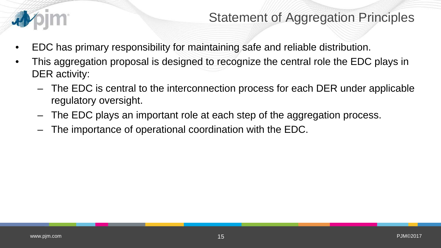

### Statement of Aggregation Principles

- EDC has primary responsibility for maintaining safe and reliable distribution.
- This aggregation proposal is designed to recognize the central role the EDC plays in DER activity:
	- The EDC is central to the interconnection process for each DER under applicable regulatory oversight.
	- The EDC plays an important role at each step of the aggregation process.
	- The importance of operational coordination with the EDC.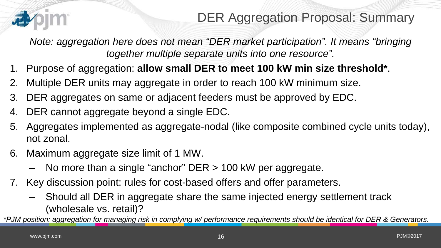

### DER Aggregation Proposal: Summary

*Note: aggregation here does not mean "DER market participation". It means "bringing together multiple separate units into one resource".* 

- 1. Purpose of aggregation: **allow small DER to meet 100 kW min size threshold\***.
- 2. Multiple DER units may aggregate in order to reach 100 kW minimum size.
- 3. DER aggregates on same or adjacent feeders must be approved by EDC.
- 4. DER cannot aggregate beyond a single EDC.
- 5. Aggregates implemented as aggregate-nodal (like composite combined cycle units today), not zonal.
- 6. Maximum aggregate size limit of 1 MW.
	- No more than a single "anchor" DER > 100 kW per aggregate.
- 7. Key discussion point: rules for cost-based offers and offer parameters.
	- Should all DER in aggregate share the same injected energy settlement track (wholesale vs. retail)?

*\*PJM position: aggregation for managing risk in complying w/ performance requirements should be identical for DER & Generators.*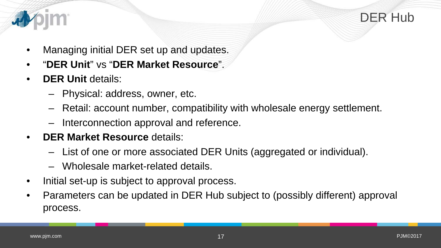

DER Hub

- Managing initial DER set up and updates.
- "**DER Unit**" vs "**DER Market Resource**".
- **DER Unit** details:
	- Physical: address, owner, etc.
	- Retail: account number, compatibility with wholesale energy settlement.
	- Interconnection approval and reference.
- **DER Market Resource** details:
	- List of one or more associated DER Units (aggregated or individual).
	- Wholesale market-related details.
- Initial set-up is subject to approval process.
- Parameters can be updated in DER Hub subject to (possibly different) approval process.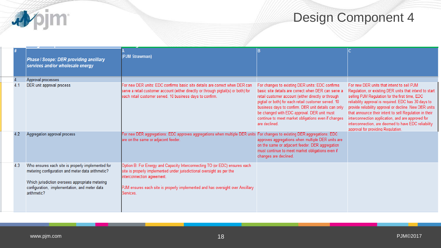

|     | Phase I Scope: DER providing ancillary<br>services and/or wholesale energy                                                                                                                                                 | (PJM Strawman)                                                                                                                                                                                                                                                                   |                                                                                                                                                                                                                                                                                                                                                                                                     |                                                                                                                                                                                                                                                                                                                                                                                                                                                                                     |
|-----|----------------------------------------------------------------------------------------------------------------------------------------------------------------------------------------------------------------------------|----------------------------------------------------------------------------------------------------------------------------------------------------------------------------------------------------------------------------------------------------------------------------------|-----------------------------------------------------------------------------------------------------------------------------------------------------------------------------------------------------------------------------------------------------------------------------------------------------------------------------------------------------------------------------------------------------|-------------------------------------------------------------------------------------------------------------------------------------------------------------------------------------------------------------------------------------------------------------------------------------------------------------------------------------------------------------------------------------------------------------------------------------------------------------------------------------|
|     | Approval processes                                                                                                                                                                                                         |                                                                                                                                                                                                                                                                                  |                                                                                                                                                                                                                                                                                                                                                                                                     |                                                                                                                                                                                                                                                                                                                                                                                                                                                                                     |
|     | DER unit approval process                                                                                                                                                                                                  | For new DER units: EDC confirms basic site details are correct when DER can<br>serve a retail customer account (either directly or through pigtail(s) or both) for<br>each retail customer served. 10 business days to confirm.                                                  | For changes to existing DER units: EDC confirms<br>basic site details are correct when DER can serve a<br>retail customer account (either directly or through<br>pigtail or both) for each retail customer served. 10<br>business days to confirm. DER unit details can only<br>be changed with EDC approval. DER unit must<br>continue to meet market obligations even if changes<br>are declined. | For new DER units that intend to sell PJM<br>Regulation, or existing DER units that intend to start<br>selling PJM Regulation for the first time, EDC<br>reliability approval is required. EDC has 30 days to<br>provide reliability approval or decline. New DER units<br>that announce their intent to sell Regulation in their<br>interconnection application, and are approved for<br>interconnection, are deemed to have EDC reliability<br>approval for providing Regulation. |
|     | Aggregation approval process                                                                                                                                                                                               | For new DER aggregations: EDC approves aggregations when multiple DER units For changes to existing DER aggregations: EDC<br>are on the same or adjacent feeder.                                                                                                                 | approves aggregations when multiple DER units are<br>on the same or adjacent feeder. DER aggregation<br>must continue to meet market obligations even if<br>changes are declined.                                                                                                                                                                                                                   |                                                                                                                                                                                                                                                                                                                                                                                                                                                                                     |
| 4.3 | Who ensures each site is properly implemented for<br>metering configuration and meter data arithmetic?<br>Which jurisdiction oversees appropriate metering<br>configuration, implementation, and meter data<br>arithmetic? | Option B: For Energy and Capacity Interconnecting TO (or EDC) ensures each<br>site is properly implemented under jurisdictional oversight as per the<br>interconnection agreement.<br>PJM ensures each site is properly implemented and has oversight over Ancillary<br>Services |                                                                                                                                                                                                                                                                                                                                                                                                     |                                                                                                                                                                                                                                                                                                                                                                                                                                                                                     |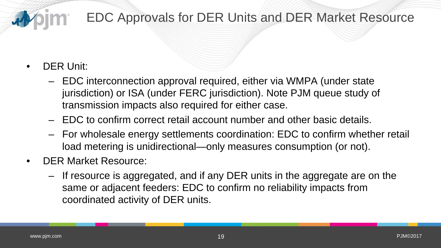

### EDC Approvals for DER Units and DER Market Resource

- DER Unit:
	- EDC interconnection approval required, either via WMPA (under state jurisdiction) or ISA (under FERC jurisdiction). Note PJM queue study of transmission impacts also required for either case.
	- EDC to confirm correct retail account number and other basic details.
	- For wholesale energy settlements coordination: EDC to confirm whether retail load metering is unidirectional—only measures consumption (or not).
- DER Market Resource:
	- If resource is aggregated, and if any DER units in the aggregate are on the same or adjacent feeders: EDC to confirm no reliability impacts from coordinated activity of DER units.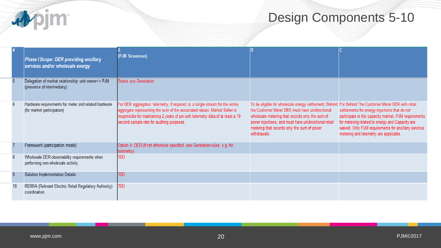

## Design Components 5-10

|  | Phase I Scope: DER providing ancillary<br>services and/or wholesale energy         | (PJM Strawman)                                                                                                                                                                                                                                                                              |                                                                                                                                                                                                                                                                                                                                    |                                                                                                                                                                                                                                                            |
|--|------------------------------------------------------------------------------------|---------------------------------------------------------------------------------------------------------------------------------------------------------------------------------------------------------------------------------------------------------------------------------------------|------------------------------------------------------------------------------------------------------------------------------------------------------------------------------------------------------------------------------------------------------------------------------------------------------------------------------------|------------------------------------------------------------------------------------------------------------------------------------------------------------------------------------------------------------------------------------------------------------|
|  | Delegation of market relationship: unit owner<> PJM<br>(presence of intermediary)  | Status quo Generation                                                                                                                                                                                                                                                                       |                                                                                                                                                                                                                                                                                                                                    |                                                                                                                                                                                                                                                            |
|  | Hardware requirements for meter and related hardware<br>(for market participation) | For DER aggregates: telemetry, if required, is a single stream for the entire<br>aggregate representing the sum of the associated values. Market Seller is<br>responsible for maintaining 2 years of per-unit telemetry data of at least a 10-<br>second sample rate for auditing purposes. | To be eligible for wholesale energy settlement, Behind For Behind The Customer Meter DER with retail<br>the Customer Meter DER must have unidirectional<br>wholesale metering that records only the sum of<br>power injections, and must have unidirectional retail<br>metering that records only the sum of power<br>withdrawals. | settlements for energy injections that do not<br>participate in the capacity market, PJM requirements<br>for metering related to energy and Capacity are<br>waived. Only PJM requirements for ancillary services<br>metering and telemetry are applicable. |
|  | Framework (participation model)                                                    | Option A: DER (If not otherwise specified, use Generation rules, e.g. for<br>telemetry)                                                                                                                                                                                                     |                                                                                                                                                                                                                                                                                                                                    |                                                                                                                                                                                                                                                            |
|  | Wholesale DER observability requirements when<br>performing non-wholesale activity | <b>TBD</b>                                                                                                                                                                                                                                                                                  |                                                                                                                                                                                                                                                                                                                                    |                                                                                                                                                                                                                                                            |
|  | Solution Implementation Details                                                    | <b>TBD</b>                                                                                                                                                                                                                                                                                  |                                                                                                                                                                                                                                                                                                                                    |                                                                                                                                                                                                                                                            |
|  | RERRA (Relevant Electric Retail Regulatory Authority)<br>coordination              | <b>TBD</b>                                                                                                                                                                                                                                                                                  |                                                                                                                                                                                                                                                                                                                                    |                                                                                                                                                                                                                                                            |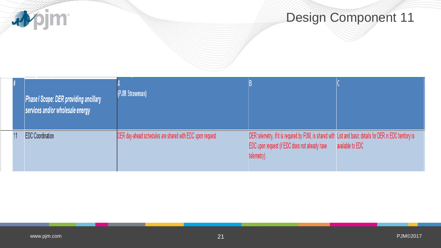

|  | Phase I Scope: DER providing ancillary<br>services and/or wholesale energy | (PJM Strawman)                                           |                                                                                                                                                                             |                  |
|--|----------------------------------------------------------------------------|----------------------------------------------------------|-----------------------------------------------------------------------------------------------------------------------------------------------------------------------------|------------------|
|  | <b>EDC</b> Coordination                                                    | DER day-ahead schedules are shared with EDC upon request | DER telemetry, if it is required by PJM, is shared with List and basic details for DER in EDC territory is<br>EDC upon request (if EDC does not already have<br>telemetry). | available to EDC |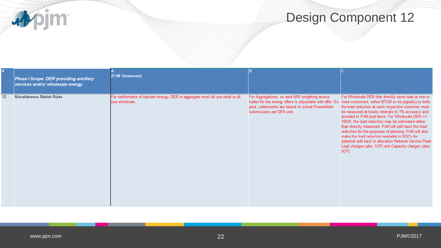**小门** 

## Design Component 12

|    | Phase I Scope: DER providing ancillary<br>services and/or wholesale energy | (PJM Strawman)                                                                                    |                                                                                                                                                                                                                                                   |                                                                                                                                                                                                                                                                                                                                                                                                                                                                                                                                                                   |
|----|----------------------------------------------------------------------------|---------------------------------------------------------------------------------------------------|---------------------------------------------------------------------------------------------------------------------------------------------------------------------------------------------------------------------------------------------------|-------------------------------------------------------------------------------------------------------------------------------------------------------------------------------------------------------------------------------------------------------------------------------------------------------------------------------------------------------------------------------------------------------------------------------------------------------------------------------------------------------------------------------------------------------------------|
| 12 | Miscellaneous Market Rules                                                 | For settlements of injected energy, DER in aggregate must all use retail or all<br>use wholesale. | For Aggregations: ex ante MW weighting across<br>nodes for the energy offers is adjustable with offer. Ex more customers, either BTCM or via pigtail(s) or both,<br>post, settlements are based on actual PowerMeter<br>submissions per DER unit. | For Wholesale DER that directly serve load at one or<br>the load reduction at each respective customer must<br>be measured at hourly intervals to 1% accuracy and<br>provided to PJM post-facto. For Wholesale DER <=<br>10kW, the load reduction may be estimated rather<br>than directly measured. PJM will add back the load<br>reduction for the purposes of planning. PJM will also<br>make the load reduction available to EDCs for<br>potential add back in allocation Network Service Peak<br>Load charges (aka, 1CP) and Capacity charges (aka,<br>5CP). |